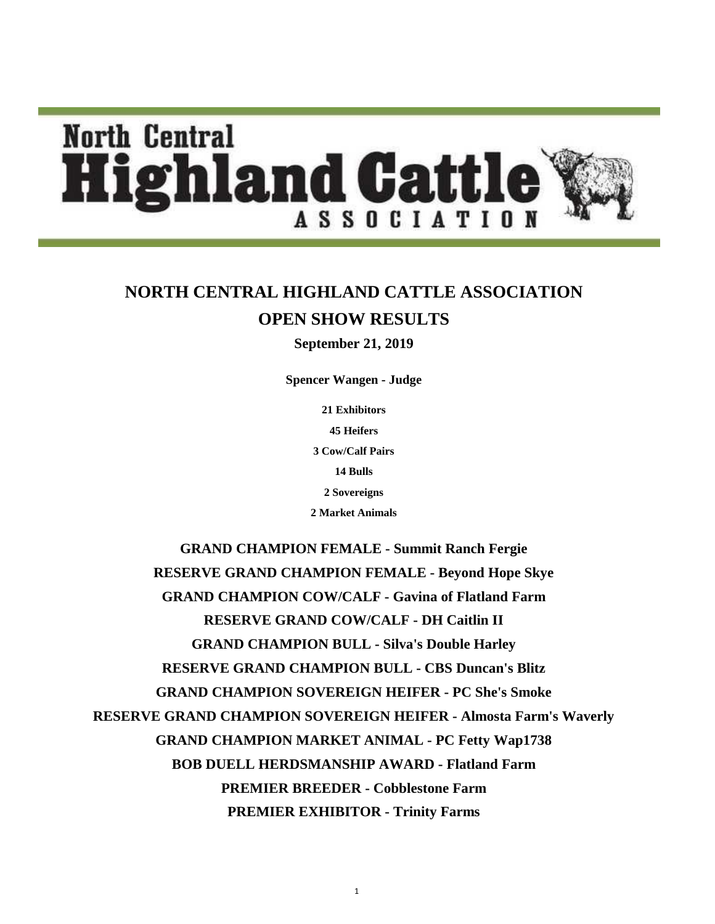# **North Central lighland Cattl** ASSOCIATION

## **NORTH CENTRAL HIGHLAND CATTLE ASSOCIATION OPEN SHOW RESULTS**

**September 21, 2019**

**Spencer Wangen - Judge**

**21 Exhibitors 45 Heifers 2 Market Animals 3 Cow/Calf Pairs 14 Bulls 2 Sovereigns**

**GRAND CHAMPION BULL - Silva's Double Harley RESERVE GRAND CHAMPION BULL - CBS Duncan's Blitz GRAND CHAMPION SOVEREIGN HEIFER - PC She's Smoke RESERVE GRAND CHAMPION SOVEREIGN HEIFER - Almosta Farm's Waverly GRAND CHAMPION MARKET ANIMAL - PC Fetty Wap1738 GRAND CHAMPION FEMALE - Summit Ranch Fergie RESERVE GRAND CHAMPION FEMALE - Beyond Hope Skye GRAND CHAMPION COW/CALF - Gavina of Flatland Farm RESERVE GRAND COW/CALF - DH Caitlin II BOB DUELL HERDSMANSHIP AWARD - Flatland Farm PREMIER BREEDER - Cobblestone Farm PREMIER EXHIBITOR - Trinity Farms**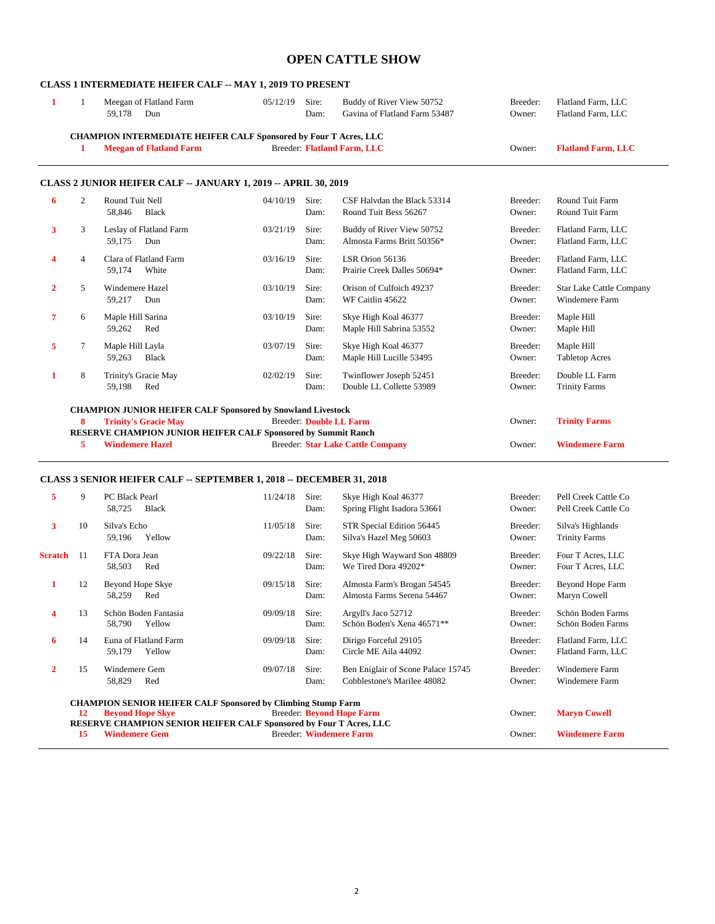#### **OPEN CATTLE SHOW**

#### **CLASS 1 INTERMEDIATE HEIFER CALF -- MAY 1, 2019 TO PRESENT**

|   |   | Meegan of Flatland Farm<br>59,178<br>Dun                                                                            | 05/12/19 | Sire:<br>Dam: | Buddy of River View 50752<br>Gavina of Flatland Farm 53487 | Breeder:<br>Owner: | Flatland Farm, LLC<br>Flatland Farm, LLC |
|---|---|---------------------------------------------------------------------------------------------------------------------|----------|---------------|------------------------------------------------------------|--------------------|------------------------------------------|
|   |   | CHAMPION INTERMEDIATE HEIFER CALF Sponsored by Four T Acres, LLC                                                    |          |               |                                                            |                    |                                          |
|   | 1 | <b>Meegan of Flatland Farm</b>                                                                                      |          |               | Breeder: Flatland Farm, LLC                                | Owner:             | <b>Flatland Farm, LLC</b>                |
| 6 | 2 | <b>CLASS 2 JUNIOR HEIFER CALF -- JANUARY 1, 2019 -- APRIL 30, 2019</b><br>Round Tuit Nell<br>58.846<br><b>Black</b> | 04/10/19 | Sire:<br>Dam: | CSF Halydan the Black 53314<br>Round Tuit Bess 56267       | Breeder:<br>Owner: | Round Tuit Farm<br>Round Tuit Farm       |
| 3 | 3 | Leslay of Flatland Farm<br>59,175<br>Dun                                                                            | 03/21/19 | Sire:<br>Dam: | Buddy of River View 50752<br>Almosta Farms Britt 50356*    | Breeder:<br>Owner: | Flatland Farm, LLC<br>Flatland Farm, LLC |
| 4 | 4 | Clara of Flatland Farm<br>59.174<br>White                                                                           | 03/16/19 | Sire:<br>Dam: | LSR Orion 56136<br>Prairie Creek Dalles 50694*             | Breeder:<br>Owner: | Flatland Farm, LLC<br>Flatland Farm, LLC |

**2** 5 Windemere Hazel 03/10/19 Sire: Orison of Culfoich 49237 Breeder: Star Lake Cattle Company 59,217 Dun Dam: WF Caitlin 45622 Owner: Windemere Farm

Dam: Maple Hill Sabrina 53552 Owner:

**7** 6 Maple Hill Sarina 03/10/19 Sire: Skye High Koal 46377 Breeder: Maple Hill Sarina 59,262 Red Dam: Maple Hill Sabrina 53552 Owner: Maple Hill

**5** 7 Maple Hill Layla **03/07/19** Sire: Skye High Koal 46377 Breeder: Maple Hill

59,263 Black Dam: Maple Hill Lucille 53495 Owner: Tabletop Acres 1 8 Trinity's Gracie May  $02/02/19$  Sire: Twinflower Joseph 52451 Breeder: Double LL Farm 59,198 Red Dam: Double LL Collette 53989 Owner: Trinity Farms **CHAMPION JUNIOR HEIFER CALF Sponsored by Snowland Livestock 8 Trinity's Gracie May** Breeder: **Double LL Farm** Owner: **Trinity Farms RESERVE CHAMPION JUNIOR HEIFER CALF Sponsored by Summit Ranch 5 Windemere Hazel Breeder: Star Lake Cattle C 5 Windemere Hazel** Breeder: **Star Lake Cattle Company** Owner: **Windemere Farm**

#### **CLASS 3 SENIOR HEIFER CALF -- SEPTEMBER 1, 2018 -- DECEMBER 31, 2018**

| 5              | 9         | <b>PC Black Pearl</b><br><b>Black</b><br>58,725                           | 11/24/18 | Sire:<br>Dam:           | Skye High Koal 46377<br>Spring Flight Isadora 53661               | Breeder:<br>Owner: | Pell Creek Cattle Co<br>Pell Creek Cattle Co |
|----------------|-----------|---------------------------------------------------------------------------|----------|-------------------------|-------------------------------------------------------------------|--------------------|----------------------------------------------|
| 3              | 10        | Silva's Echo<br>Yellow<br>59,196                                          | 11/05/18 | Sire:<br>Dam:           | STR Special Edition 56445<br>Silva's Hazel Meg 50603              | Breeder:<br>Owner: | Silva's Highlands<br><b>Trinity Farms</b>    |
| <b>Scratch</b> | 11        | FTA Dora Jean<br>58,503<br>Red                                            | 09/22/18 | Sire:<br>Dam:           | Skye High Wayward Son 48809<br>We Tired Dora 49202*               | Breeder:<br>Owner: | Four T Acres, LLC<br>Four T Acres, LLC       |
| 1              | 12        | Beyond Hope Skye<br>Red<br>58,259                                         | 09/15/18 | Sire:<br>Dam:           | Almosta Farm's Brogan 54545<br>Almosta Farms Serena 54467         | Breeder:<br>Owner: | Beyond Hope Farm<br>Maryn Cowell             |
| 4              | 13        | Schön Boden Fantasia<br>Yellow<br>58,790                                  | 09/09/18 | Sire:<br>Dam:           | Argyll's Jaco 52712<br>Schön Boden's Xena 46571 <sup>**</sup>     | Breeder:<br>Owner: | Schön Boden Farms<br>Schön Boden Farms       |
| 6              | 14        | Euna of Flatland Farm<br>59,179<br>Yellow                                 | 09/09/18 | Sire:<br>Dam:           | Dirigo Forceful 29105<br>Circle ME Aila 44092                     | Breeder:<br>Owner: | Flatland Farm, LLC<br>Flatland Farm, LLC     |
| $\mathbf{2}$   | 15        | Windemere Gem<br>58,829<br>Red                                            | 09/07/18 | Sire:<br>Dam:           | Ben Eniglair of Scone Palace 15745<br>Cobblestone's Marilee 48082 | Breeder:<br>Owner: | Windemere Farm<br>Windemere Farm             |
|                |           | <b>CHAMPION SENIOR HEIFER CALF Sponsored by Climbing Stump Farm</b>       |          |                         |                                                                   |                    |                                              |
|                | <b>12</b> | <b>Bevond Hope Skye</b>                                                   |          |                         | <b>Breeder: Beyond Hope Farm</b>                                  | Owner:             | <b>Maryn Cowell</b>                          |
|                |           | <b>RESERVE CHAMPION SENIOR HEIFER CALF Sponsored by Four T Acres, LLC</b> |          |                         |                                                                   | Owner:             | <b>Windemere Farm</b>                        |
|                | 15        | <b>Windemere Gem</b>                                                      |          | Breeder: Windemere Farm |                                                                   |                    |                                              |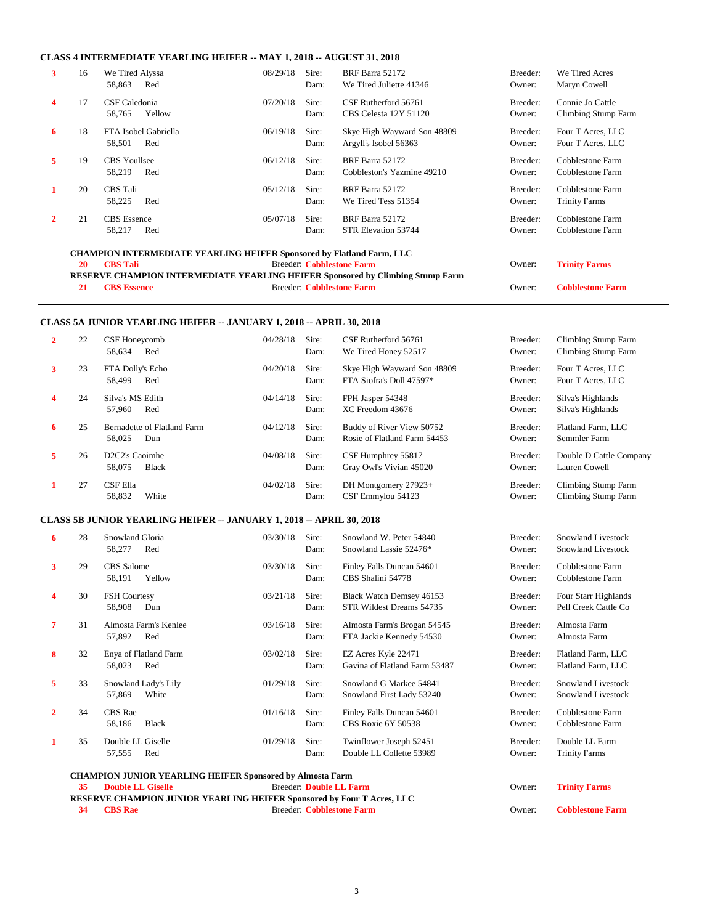#### **CLASS 4 INTERMEDIATE YEARLING HEIFER -- MAY 1, 2018 -- AUGUST 31, 2018**

| 3            | 16                                                                           | We Tired Alyssa<br>58,863<br>Red                                               | 08/29/18 | Sire:<br>Dam: | BRF Barra 52172<br>We Tired Juliette 41346           | Breeder:<br>Owner: | We Tired Acres<br>Maryn Cowell           |  |  |  |  |
|--------------|------------------------------------------------------------------------------|--------------------------------------------------------------------------------|----------|---------------|------------------------------------------------------|--------------------|------------------------------------------|--|--|--|--|
| 4            | 17                                                                           | CSF Caledonia<br>Yellow<br>58,765                                              | 07/20/18 | Sire:<br>Dam: | CSF Rutherford 56761<br>CBS Celesta 12Y 51120        | Breeder:<br>Owner: | Connie Jo Cattle<br>Climbing Stump Farm  |  |  |  |  |
| 6            | 18                                                                           | FTA Isobel Gabriella<br>58,501<br>Red                                          | 06/19/18 | Sire:<br>Dam: | Skye High Wayward Son 48809<br>Argyll's Isobel 56363 | Breeder:<br>Owner: | Four T Acres, LLC<br>Four T Acres, LLC   |  |  |  |  |
| 5            | 19                                                                           | <b>CBS</b> Youllsee<br>58,219<br>Red                                           | 06/12/18 | Sire:<br>Dam: | BRF Barra 52172<br>Cobbleston's Yazmine 49210        | Breeder:<br>Owner: | Cobblestone Farm<br>Cobblestone Farm     |  |  |  |  |
|              | 20                                                                           | CBS Tali<br>58,225<br>Red                                                      | 05/12/18 | Sire:<br>Dam: | BRF Barra 52172<br>We Tired Tess 51354               | Breeder:<br>Owner: | Cobblestone Farm<br><b>Trinity Farms</b> |  |  |  |  |
| $\mathbf{2}$ | 21                                                                           | <b>CBS</b> Essence<br>Red<br>58,217                                            | 05/07/18 | Sire:<br>Dam: | BRF Barra 52172<br>STR Elevation 53744               | Breeder:<br>Owner: | Cobblestone Farm<br>Cobblestone Farm     |  |  |  |  |
|              | <b>CHAMPION INTERMEDIATE YEARLING HEIFER Sponsored by Flatland Farm, LLC</b> |                                                                                |          |               |                                                      |                    |                                          |  |  |  |  |
|              | 20                                                                           | <b>CBS</b> Tali                                                                |          |               | <b>Breeder: Cobblestone Farm</b>                     | Owner:             | <b>Trinity Farms</b>                     |  |  |  |  |
|              |                                                                              | RESERVE CHAMPION INTERMEDIATE YEARLING HEIFER Sponsored by Climbing Stump Farm |          |               |                                                      |                    |                                          |  |  |  |  |
|              | 21                                                                           | <b>CBS</b> Essence                                                             |          |               | <b>Breeder: Cobblestone Farm</b>                     | Owner:             | <b>Cobblestone Farm</b>                  |  |  |  |  |

#### **CLASS 5A JUNIOR YEARLING HEIFER -- JANUARY 1, 2018 -- APRIL 30, 2018**

| $\overline{2}$ | 22                    | CSF Honeycomb<br>58,634<br>Red                                              | 04/28/18                     | Sire:<br>Dam: | CSF Rutherford 56761<br>We Tired Honey 52517              | Breeder:<br>Owner: | <b>Climbing Stump Farm</b><br><b>Climbing Stump Farm</b> |
|----------------|-----------------------|-----------------------------------------------------------------------------|------------------------------|---------------|-----------------------------------------------------------|--------------------|----------------------------------------------------------|
| 3              | 23                    | FTA Dolly's Echo<br>58,499<br>Red                                           | 04/20/18                     | Sire:<br>Dam: | Skye High Wayward Son 48809<br>FTA Siofra's Doll 47597*   | Breeder:<br>Owner: | Four T Acres, LLC<br>Four T Acres, LLC                   |
| 4              | 24                    | Silva's MS Edith<br>57.960<br>Red                                           | 04/14/18                     | Sire:<br>Dam: | FPH Jasper 54348<br>XC Freedom 43676                      | Breeder:<br>Owner: | Silva's Highlands<br>Silva's Highlands                   |
| 6              | 25                    | Bernadette of Flatland Farm<br>58,025<br>Dun                                | 04/12/18                     | Sire:<br>Dam: | Buddy of River View 50752<br>Rosie of Flatland Farm 54453 | Breeder:<br>Owner: | Flatland Farm, LLC<br>Semmler Farm                       |
| 5              | 26                    | D <sub>2</sub> C <sub>2</sub> 's Caoimhe<br>58,075<br><b>Black</b>          | 04/08/18                     | Sire:<br>Dam: | CSF Humphrey 55817<br>Gray Owl's Vivian 45020             | Breeder:<br>Owner: | Double D Cattle Company<br>Lauren Cowell                 |
|                | 27                    | CSF Ella<br>58,832<br>White                                                 | 04/02/18                     | Sire:<br>Dam: | DH Montgomery 27923+<br>CSF Emmylou 54123                 | Breeder:<br>Owner: | Climbing Stump Farm<br><b>Climbing Stump Farm</b>        |
|                |                       | <b>CLASS 5B JUNIOR YEARLING HEIFER -- JANUARY 1, 2018 -- APRIL 30, 2018</b> |                              |               |                                                           |                    |                                                          |
| $\sim$ $\sim$  | $\gamma$ <sup>o</sup> | $Example 2$                                                                 | $0.2/20/10$ $C_{\text{max}}$ |               | $C_{\text{non-1}}$ and $W_{\text{other}}$ 54040           | $D$ road on        | Coordond Livestook                                       |

| 6 | 28 | Snowland Gloria<br>Red<br>58,277                                       | 03/30/18 | Sire:<br>Dam:                  | Snowland W. Peter 54840<br>Snowland Lassie 52476*       | Breeder:<br>Owner: | Snowland Livestock<br><b>Snowland Livestock</b> |
|---|----|------------------------------------------------------------------------|----------|--------------------------------|---------------------------------------------------------|--------------------|-------------------------------------------------|
| 3 | 29 | CBS Salome<br>Yellow<br>58,191                                         | 03/30/18 | Sire:<br>Dam:                  | Finley Falls Duncan 54601<br>CBS Shalini 54778          | Breeder:<br>Owner: | Cobblestone Farm<br>Cobblestone Farm            |
| 4 | 30 | <b>FSH Courtesy</b><br>58,908<br>Dun                                   | 03/21/18 | Sire:<br>Dam:                  | Black Watch Demsey 46153<br>STR Wildest Dreams 54735    | Breeder:<br>Owner: | Four Starr Highlands<br>Pell Creek Cattle Co    |
| 7 | 31 | Almosta Farm's Kenlee<br>Red<br>57,892                                 | 03/16/18 | Sire:<br>Dam:                  | Almosta Farm's Brogan 54545<br>FTA Jackie Kennedy 54530 | Breeder:<br>Owner: | Almosta Farm<br>Almosta Farm                    |
| 8 | 32 | Enya of Flatland Farm<br>58,023<br>Red                                 | 03/02/18 | Sire:<br>Dam:                  | EZ Acres Kyle 22471<br>Gavina of Flatland Farm 53487    | Breeder:<br>Owner: | Flatland Farm, LLC<br>Flatland Farm, LLC        |
| 5 | 33 | Snowland Lady's Lily<br>White<br>57,869                                | 01/29/18 | Sire:<br>Dam:                  | Snowland G Markee 54841<br>Snowland First Lady 53240    | Breeder:<br>Owner: | <b>Snowland Livestock</b><br>Snowland Livestock |
| 2 | 34 | <b>CBS</b> Rae<br><b>Black</b><br>58,186                               | 01/16/18 | Sire:<br>Dam:                  | Finley Falls Duncan 54601<br>CBS Roxie 6Y 50538         | Breeder:<br>Owner: | Cobblestone Farm<br>Cobblestone Farm            |
| 1 | 35 | Double LL Giselle<br>Red<br>57,555                                     | 01/29/18 | Sire:<br>Dam:                  | Twinflower Joseph 52451<br>Double LL Collette 53989     | Breeder:<br>Owner: | Double LL Farm<br><b>Trinity Farms</b>          |
|   |    | <b>CHAMPION JUNIOR YEARLING HEIFER Sponsored by Almosta Farm</b>       |          |                                |                                                         |                    |                                                 |
|   | 35 | <b>Double LL Giselle</b>                                               |          | <b>Breeder: Double LL Farm</b> |                                                         | Owner:             | <b>Trinity Farms</b>                            |
|   |    | RESERVE CHAMPION JUNIOR YEARLING HEIFER Sponsored by Four T Acres, LLC |          |                                |                                                         |                    |                                                 |
|   | 34 | <b>CBS</b> Rae                                                         |          |                                | <b>Breeder: Cobblestone Farm</b>                        | Owner:             | <b>Cobblestone Farm</b>                         |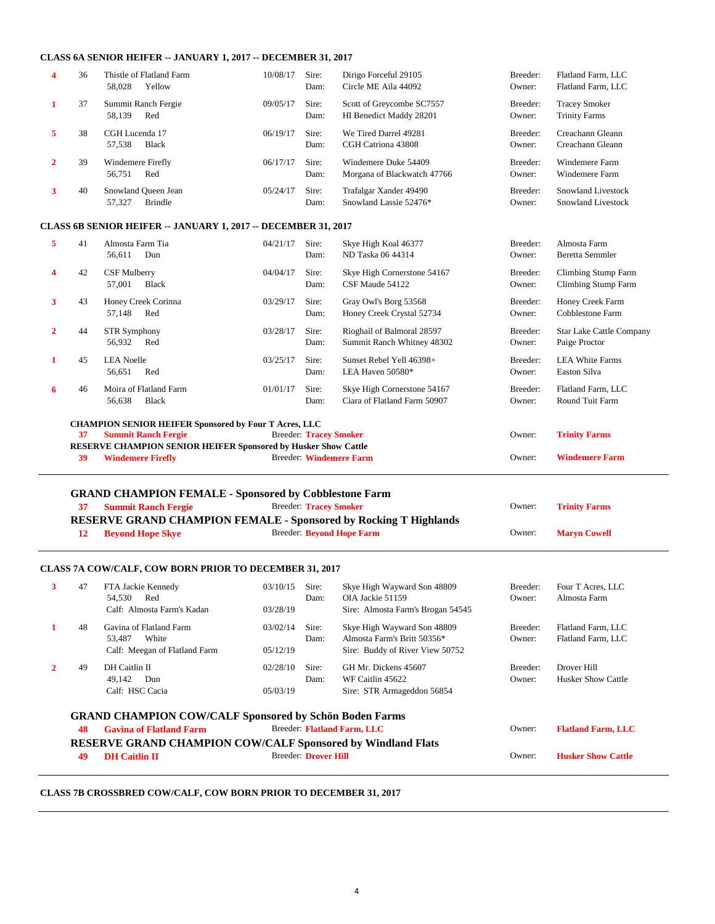#### **CLASS 6A SENIOR HEIFER -- JANUARY 1, 2017 -- DECEMBER 31, 2017**

| 4 | 36 | Thistle of Flatland Farm<br>58.028<br>Yellow | 10/08/17 | Sire:<br>Dam: | Dirigo Forceful 29105<br>Circle ME Aila 44092        | Breeder:<br>Owner: | Flatland Farm, LLC<br>Flatland Farm, LLC        |
|---|----|----------------------------------------------|----------|---------------|------------------------------------------------------|--------------------|-------------------------------------------------|
|   | 37 | Summit Ranch Fergie<br>58,139<br>Red         | 09/05/17 | Sire:<br>Dam: | Scott of Greycombe SC7557<br>HI Benedict Maddy 28201 | Breeder:<br>Owner: | <b>Tracey Smoker</b><br><b>Trinity Farms</b>    |
| 5 | 38 | CGH Lucenda 17<br>57,538<br><b>Black</b>     | 06/19/17 | Sire:<br>Dam: | We Tired Darrel 49281<br>CGH Catriona 43808          | Breeder:<br>Owner: | Creachann Gleann<br>Creachann Gleann            |
|   | 39 | Windemere Firefly<br>56.751<br>Red           | 06/17/17 | Sire:<br>Dam: | Windemere Duke 54409<br>Morgana of Blackwatch 47766  | Breeder:<br>Owner: | Windemere Farm<br>Windemere Farm                |
|   | 40 | Snowland Queen Jean<br>Brindle<br>57.327     | 05/24/17 | Sire:<br>Dam: | Trafalgar Xander 49490<br>Snowland Lassie 52476*     | Breeder:<br>Owner: | <b>Snowland Livestock</b><br>Snowland Livestock |

#### **CLASS 6B SENIOR HEIFER -- JANUARY 1, 2017 -- DECEMBER 31, 2017**

| 5 | 41 | Almosta Farm Tia<br>Dun<br>56,611                                                                 | 04/21/17 | Sire:<br>Dam:                 | Skye High Koal 46377<br>ND Taska 06 44314                   | Breeder:<br>Owner: | Almosta Farm<br>Beretta Semmler                   |
|---|----|---------------------------------------------------------------------------------------------------|----------|-------------------------------|-------------------------------------------------------------|--------------------|---------------------------------------------------|
| 4 | 42 | CSF Mulberry<br>Black<br>57,001                                                                   | 04/04/17 | Sire:<br>Dam:                 | Skye High Cornerstone 54167<br>CSF Maude 54122              | Breeder:<br>Owner: | Climbing Stump Farm<br><b>Climbing Stump Farm</b> |
| 3 | 43 | Honey Creek Corinna<br>57,148<br>Red                                                              | 03/29/17 | Sire:<br>Dam:                 | Gray Owl's Borg 53568<br>Honey Creek Crystal 52734          | Breeder:<br>Owner: | Honey Creek Farm<br>Cobblestone Farm              |
| 2 | 44 | <b>STR Symphony</b><br>56,932<br>Red                                                              | 03/28/17 | Sire:<br>Dam:                 | Rioghail of Balmoral 28597<br>Summit Ranch Whitney 48302    | Breeder:<br>Owner: | <b>Star Lake Cattle Company</b><br>Paige Proctor  |
|   | 45 | <b>LEA Noelle</b><br>56,651<br>Red                                                                | 03/25/17 | Sire:<br>Dam:                 | Sunset Rebel Yell 46398+<br>LEA Haven 50580*                | Breeder:<br>Owner: | <b>LEA White Farms</b><br>Easton Silva            |
| 6 | 46 | Moira of Flatland Farm<br>56,638<br><b>Black</b>                                                  | 01/01/17 | Sire:<br>Dam:                 | Skye High Cornerstone 54167<br>Ciara of Flatland Farm 50907 | Breeder:<br>Owner: | Flatland Farm, LLC<br><b>Round Tuit Farm</b>      |
|   |    | <b>CHAMPION SENIOR HEIFER Sponsored by Four T Acres, LLC</b>                                      |          |                               |                                                             |                    |                                                   |
|   | 37 | <b>Summit Ranch Fergie</b>                                                                        |          | <b>Breeder: Tracey Smoker</b> |                                                             | Owner:             | <b>Trinity Farms</b>                              |
|   | 39 | <b>RESERVE CHAMPION SENIOR HEIFER Sponsored by Husker Show Cattle</b><br><b>Windemere Firefly</b> |          |                               | <b>Breeder: Windemere Farm</b>                              | Owner:             | <b>Windemere Farm</b>                             |
|   |    |                                                                                                   |          |                               |                                                             |                    |                                                   |

#### **GRAND CHAMPION FEMALE - Sponsored by Cobblestone Farm**

|                                                                         | <b>Summit Ranch Fergie</b> | <b>Breeder: Tracey Smoker</b> | Owner: | <b>Trinity Farms</b> |  |  |  |  |  |
|-------------------------------------------------------------------------|----------------------------|-------------------------------|--------|----------------------|--|--|--|--|--|
| <b>RESERVE GRAND CHAMPION FEMALE - Sponsored by Rocking T Highlands</b> |                            |                               |        |                      |  |  |  |  |  |
|                                                                         | 12 Bevond Hope Skve        | Breeder: Beyond Hope Farm     | Owner: | <b>Maryn Cowell</b>  |  |  |  |  |  |

#### **CLASS 7A COW/CALF, COW BORN PRIOR TO DECEMBER 31, 2017**

| 3                                                                                                                                                                                                                                                                                                                                       | 47 | FTA Jackie Kennedy<br>54.530<br>Red<br>Calf: Almosta Farm's Kadan           | 03/10/15<br>03/28/19   | Sire:<br>Dam: | Skye High Wayward Son 48809<br>OIA Jackie 51159<br>Sire: Almosta Farm's Brogan 54545          | Breeder:<br>Owner: | Four T Acres, LLC<br>Almosta Farm        |  |  |
|-----------------------------------------------------------------------------------------------------------------------------------------------------------------------------------------------------------------------------------------------------------------------------------------------------------------------------------------|----|-----------------------------------------------------------------------------|------------------------|---------------|-----------------------------------------------------------------------------------------------|--------------------|------------------------------------------|--|--|
|                                                                                                                                                                                                                                                                                                                                         | 48 | Gavina of Flatland Farm<br>53.487<br>White<br>Calf: Meegan of Flatland Farm | 03/02/14<br>05/12/19   | Sire:<br>Dam: | Skye High Wayward Son 48809<br>Almosta Farm's Britt 50356*<br>Sire: Buddy of River View 50752 | Breeder:<br>Owner: | Flatland Farm, LLC<br>Flatland Farm, LLC |  |  |
|                                                                                                                                                                                                                                                                                                                                         | 49 | DH Caitlin II<br>49.142<br>Dun<br>Calf: HSC Cacia                           | 02/28/10<br>0.5/0.3/19 | Sire:<br>Dam: | GH Mr. Dickens 45607<br>WF Caitlin 45622<br>Sire: STR Armageddon 56854                        | Breeder:<br>Owner: | Drover Hill<br>Husker Show Cattle        |  |  |
| <b>GRAND CHAMPION COW/CALF Sponsored by Schön Boden Farms</b><br>Breeder: Flatland Farm, LLC<br><b>Flatland Farm, LLC</b><br><b>Gavina of Flatland Farm</b><br>Owner:<br>48<br>RESERVE GRAND CHAMPION COW/CALF Sponsored by Windland Flats<br>Breeder: Drover Hill<br><b>DH</b> Caitlin II<br><b>Husker Show Cattle</b><br>Owner:<br>49 |    |                                                                             |                        |               |                                                                                               |                    |                                          |  |  |

#### **CLASS 7B CROSSBRED COW/CALF, COW BORN PRIOR TO DECEMBER 31, 2017**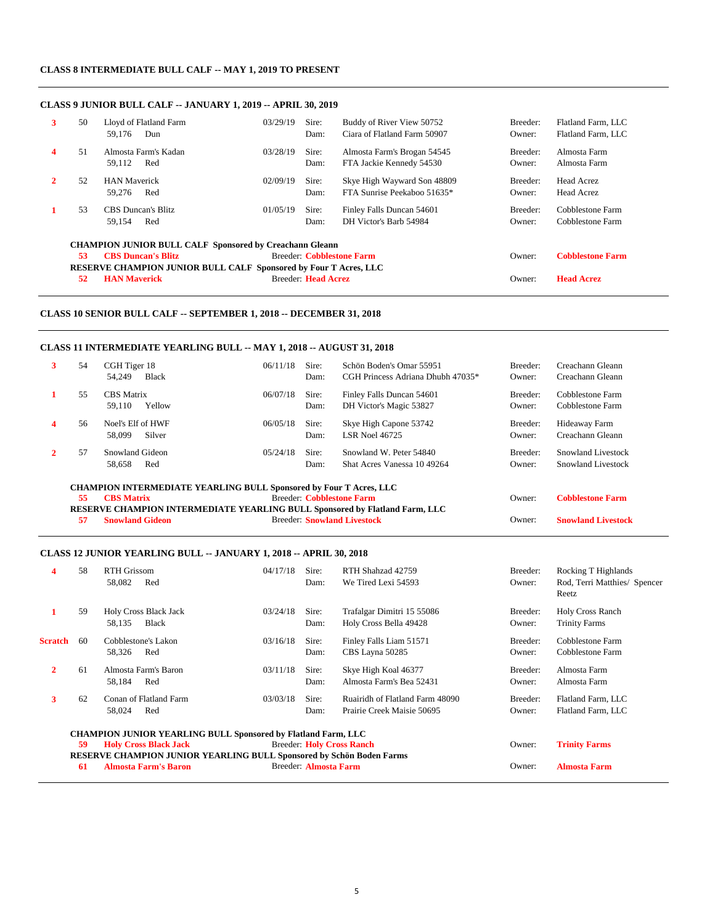#### **CLASS 8 INTERMEDIATE BULL CALF -- MAY 1, 2019 TO PRESENT**

#### **CLASS 9 JUNIOR BULL CALF -- JANUARY 1, 2019 -- APRIL 30, 2019**

| 3 | 50                                                             | Lloyd of Flatland Farm<br>59.176<br>Dun                          | 03/29/19 | Sire:<br>Dam:      | Buddy of River View 50752<br>Ciara of Flatland Farm 50907  | Breeder:<br>Owner: | Flatland Farm, LLC<br>Flatland Farm, LLC |  |  |  |  |  |
|---|----------------------------------------------------------------|------------------------------------------------------------------|----------|--------------------|------------------------------------------------------------|--------------------|------------------------------------------|--|--|--|--|--|
| 4 | 51                                                             | Almosta Farm's Kadan<br>59.112<br>Red                            | 03/28/19 | Sire:<br>Dam:      | Almosta Farm's Brogan 54545<br>FTA Jackie Kennedy 54530    | Breeder:<br>Owner: | Almosta Farm<br>Almosta Farm             |  |  |  |  |  |
|   | 52                                                             | <b>HAN Maverick</b><br>59.276<br>Red                             | 02/09/19 | Sire:<br>Dam:      | Skye High Wayward Son 48809<br>FTA Sunrise Peekaboo 51635* | Breeder:<br>Owner: | <b>Head Acrez</b><br><b>Head Acrez</b>   |  |  |  |  |  |
|   | 53                                                             | <b>CBS</b> Duncan's Blitz<br>Red<br>59.154                       | 01/05/19 | Sire:<br>Dam:      | Finley Falls Duncan 54601<br>DH Victor's Barb 54984        | Breeder:<br>Owner: | Cobblestone Farm<br>Cobblestone Farm     |  |  |  |  |  |
|   | <b>CHAMPION JUNIOR BULL CALF Sponsored by Creachann Gleann</b> |                                                                  |          |                    |                                                            |                    |                                          |  |  |  |  |  |
|   | 53                                                             | <b>CBS</b> Duncan's Blitz                                        |          |                    | <b>Breeder: Cobblestone Farm</b>                           | Owner:             | <b>Cobblestone Farm</b>                  |  |  |  |  |  |
|   |                                                                | RESERVE CHAMPION JUNIOR BULL CALF Sponsored by Four T Acres, LLC |          |                    |                                                            |                    |                                          |  |  |  |  |  |
|   | 52                                                             | <b>HAN Maverick</b>                                              |          | Breeder Head Acrez |                                                            | Owner:             | <b>Head Acrez</b>                        |  |  |  |  |  |

#### **CLASS 10 SENIOR BULL CALF -- SEPTEMBER 1, 2018 -- DECEMBER 31, 2018**

#### **CLASS 11 INTERMEDIATE YEARLING BULL -- MAY 1, 2018 -- AUGUST 31, 2018**

| 3 | 54 | CGH Tiger 18<br>54,249<br><b>Black</b>                                    | 06/11/18  | Sire:<br>Dam: | Schön Boden's Omar 55951<br>CGH Princess Adriana Dhubh 47035* | Breeder:<br>Owner: | Creachann Gleann<br>Creachann Gleann |
|---|----|---------------------------------------------------------------------------|-----------|---------------|---------------------------------------------------------------|--------------------|--------------------------------------|
|   |    |                                                                           |           |               |                                                               |                    |                                      |
|   | 55 | <b>CBS</b> Matrix                                                         | 06/07/18  | Sire:         | Finley Falls Duncan 54601                                     | Breeder:           | Cobblestone Farm                     |
|   |    | Yellow<br>59.110                                                          |           | Dam:          | DH Victor's Magic 53827                                       | Owner:             | Cobblestone Farm                     |
| 4 | 56 | Noel's Elf of HWF                                                         | 06/05/18  | Sire:         | Skye High Capone 53742                                        | Breeder:           | Hideaway Farm                        |
|   |    | 58,099<br>Silver                                                          |           | Dam:          | <b>LSR Noel 46725</b>                                         | Owner:             | Creachann Gleann                     |
|   | 57 | Snowland Gideon                                                           | 0.5/24/18 | Sire:         | Snowland W. Peter 54840                                       | Breeder:           | Snowland Livestock                   |
|   |    | 58,658<br>Red                                                             |           | Dam:          | Shat Acres Vanessa 10 49264                                   | Owner:             | Snowland Livestock                   |
|   |    | <b>CHAMPION INTERMEDIATE YEARLING BULL Sponsored by Four T Acres, LLC</b> |           |               |                                                               |                    |                                      |
|   | 55 | <b>CBS</b> Matrix                                                         |           |               | <b>Breeder: Cobblestone Farm</b>                              | Owner:             | <b>Cobblestone Farm</b>              |

**RESERVE CHAMPION INTERMEDIATE YEARLING BULL Sponsored by Flatland Farm, LLC**<br>57 Snowland Gideon Breeder: Snowland Livestock **57 Snowland Gideon** Breeder: **Snowland Livestock** Owner: **Snowland Livestock**

#### **CLASS 12 JUNIOR YEARLING BULL -- JANUARY 1, 2018 -- APRIL 30, 2018**

|                                                                                                                                           | 58 | <b>RTH Grissom</b><br>58,082<br>Red                                  | 04/17/18                  | Sire:<br>Dam: | RTH Shahzad 42759<br>We Tired Lexi 54593                      | Breeder:<br>Owner: | <b>Rocking T Highlands</b><br>Rod, Terri Matthies/ Spencer<br>Reetz |
|-------------------------------------------------------------------------------------------------------------------------------------------|----|----------------------------------------------------------------------|---------------------------|---------------|---------------------------------------------------------------|--------------------|---------------------------------------------------------------------|
| 1                                                                                                                                         | 59 | <b>Holy Cross Black Jack</b><br>Black<br>58,135                      | 03/24/18                  | Sire:<br>Dam: | Trafalgar Dimitri 15 55086<br>Holy Cross Bella 49428          | Breeder:<br>Owner: | Holy Cross Ranch<br><b>Trinity Farms</b>                            |
| <b>Scratch</b>                                                                                                                            | 60 | Cobblestone's Lakon<br>58,326<br>Red                                 | 03/16/18                  | Sire:<br>Dam: | Finley Falls Liam 51571<br>CBS Layna 50285                    | Breeder:<br>Owner: | Cobblestone Farm<br>Cobblestone Farm                                |
| $\mathbf{2}$                                                                                                                              | 61 | Almosta Farm's Baron<br>58,184<br>Red                                | 03/11/18                  | Sire:<br>Dam: | Skye High Koal 46377<br>Almosta Farm's Bea 52431              | Breeder:<br>Owner: | Almosta Farm<br>Almosta Farm                                        |
| 3                                                                                                                                         | 62 | Conan of Flatland Farm<br>58,024<br>Red                              | 03/03/18                  | Sire:<br>Dam: | Ruairidh of Flatland Farm 48090<br>Prairie Creek Maisie 50695 | Breeder:<br>Owner: | Flatland Farm, LLC<br>Flatland Farm, LLC                            |
|                                                                                                                                           |    | <b>CHAMPION JUNIOR YEARLING BULL Sponsored by Flatland Farm, LLC</b> |                           |               |                                                               |                    |                                                                     |
|                                                                                                                                           | 59 | <b>Holy Cross Black Jack</b>                                         | Breeder: Holy Cross Ranch | Owner:        | <b>Trinity Farms</b>                                          |                    |                                                                     |
| <b>RESERVE CHAMPION JUNIOR YEARLING BULL Sponsored by Schön Boden Farms</b><br>Breeder: Almosta Farm<br><b>Almosta Farm's Baron</b><br>61 |    |                                                                      |                           |               |                                                               |                    | <b>Almosta Farm</b>                                                 |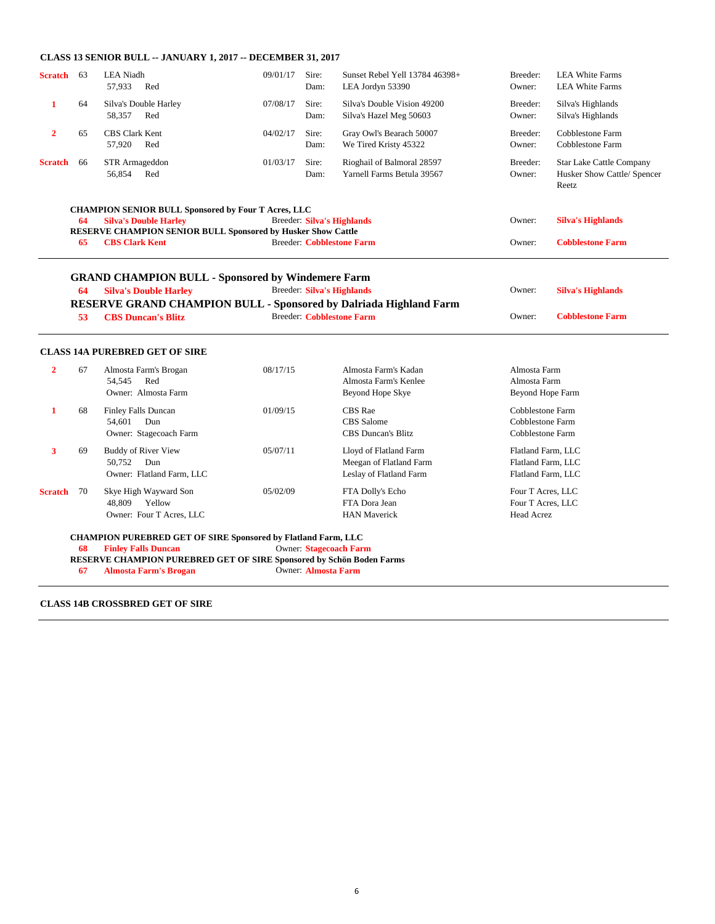#### **CLASS 13 SENIOR BULL -- JANUARY 1, 2017 -- DECEMBER 31, 2017**

| <b>Scratch</b> | 63 | <b>LEA</b> Niadh<br>57,933<br>Red                                                                                                                             | 09/01/17 | Sire:<br>Dam:              | Sunset Rebel Yell 13784 46398+<br>LEA Jordyn 53390                           | Breeder:<br>Owner:                                             | <b>LEA White Farms</b><br><b>LEA White Farms</b>                        |
|----------------|----|---------------------------------------------------------------------------------------------------------------------------------------------------------------|----------|----------------------------|------------------------------------------------------------------------------|----------------------------------------------------------------|-------------------------------------------------------------------------|
| 1              | 64 | Silva's Double Harley<br>58,357<br>Red                                                                                                                        | 07/08/17 | Sire:<br>Dam:              | Silva's Double Vision 49200<br>Silva's Hazel Meg 50603                       | Breeder:<br>Owner:                                             | Silva's Highlands<br>Silva's Highlands                                  |
| $\overline{2}$ | 65 | <b>CBS Clark Kent</b><br>57,920<br>Red                                                                                                                        | 04/02/17 | Sire:<br>Dam:              | Gray Owl's Bearach 50007<br>We Tired Kristy 45322                            | Breeder:<br>Owner:                                             | Cobblestone Farm<br>Cobblestone Farm                                    |
| <b>Scratch</b> | 66 | STR Armageddon<br>Red<br>56,854                                                                                                                               | 01/03/17 | Sire:<br>Dam:              | Rioghail of Balmoral 28597<br>Yarnell Farms Betula 39567                     | Breeder:<br>Owner:                                             | <b>Star Lake Cattle Company</b><br>Husker Show Cattle/ Spencer<br>Reetz |
|                | 64 | <b>CHAMPION SENIOR BULL Sponsored by Four T Acres, LLC</b><br><b>Silva's Double Harley</b>                                                                    |          |                            | <b>Breeder: Silva's Highlands</b>                                            | Owner:                                                         | <b>Silva's Highlands</b>                                                |
|                |    | RESERVE CHAMPION SENIOR BULL Sponsored by Husker Show Cattle                                                                                                  |          |                            |                                                                              |                                                                |                                                                         |
|                | 65 | <b>CBS Clark Kent</b>                                                                                                                                         |          |                            | <b>Breeder: Cobblestone Farm</b>                                             | Owner:                                                         | <b>Cobblestone Farm</b>                                                 |
|                | 64 | <b>GRAND CHAMPION BULL - Sponsored by Windemere Farm</b><br><b>Silva's Double Harley</b><br>RESERVE GRAND CHAMPION BULL - Sponsored by Dalriada Highland Farm |          |                            | <b>Breeder: Silva's Highlands</b>                                            | Owner:                                                         | <b>Silva's Highlands</b>                                                |
|                | 53 | <b>CBS Duncan's Blitz</b>                                                                                                                                     |          |                            | <b>Breeder: Cobblestone Farm</b>                                             | Owner:                                                         | <b>Cobblestone Farm</b>                                                 |
|                |    | <b>CLASS 14A PUREBRED GET OF SIRE</b>                                                                                                                         |          |                            |                                                                              |                                                                |                                                                         |
| $\overline{2}$ | 67 | Almosta Farm's Brogan<br>Red<br>54.545<br>Owner: Almosta Farm                                                                                                 | 08/17/15 |                            | Almosta Farm's Kadan<br>Almosta Farm's Kenlee<br>Beyond Hope Skye            | Almosta Farm<br>Almosta Farm<br>Beyond Hope Farm               |                                                                         |
| 1              | 68 | <b>Finley Falls Duncan</b><br>54.601<br>Dun<br>Owner: Stagecoach Farm                                                                                         | 01/09/15 |                            | <b>CBS</b> Rae<br><b>CBS</b> Salome<br><b>CBS</b> Duncan's Blitz             | Cobblestone Farm<br>Cobblestone Farm<br>Cobblestone Farm       |                                                                         |
| 3              | 69 | <b>Buddy of River View</b><br>50,752<br>Dun<br>Owner: Flatland Farm, LLC                                                                                      | 05/07/11 |                            | Lloyd of Flatland Farm<br>Meegan of Flatland Farm<br>Leslay of Flatland Farm | Flatland Farm, LLC<br>Flatland Farm, LLC<br>Flatland Farm, LLC |                                                                         |
| <b>Scratch</b> | 70 | Skye High Wayward Son<br>Yellow<br>48,809<br>Owner: Four T Acres, LLC                                                                                         | 05/02/09 |                            | FTA Dolly's Echo<br>FTA Dora Jean<br><b>HAN Maverick</b>                     | Four T Acres, LLC<br>Four T Acres, LLC<br>Head Acrez           |                                                                         |
|                |    | <b>CHAMPION PUREBRED GET OF SIRE Sponsored by Flatland Farm, LLC</b>                                                                                          |          |                            |                                                                              |                                                                |                                                                         |
|                | 68 | <b>Finley Falls Duncan</b>                                                                                                                                    |          |                            | Owner: Stagecoach Farm                                                       |                                                                |                                                                         |
|                |    | <b>RESERVE CHAMPION PUREBRED GET OF SIRE Sponsored by Schön Boden Farms</b>                                                                                   |          |                            |                                                                              |                                                                |                                                                         |
|                | 67 | Almosta Farm's Brogan                                                                                                                                         |          | Owner: <b>Almosta Farm</b> |                                                                              |                                                                |                                                                         |

**67 Almosta Farm's Brogan** 

**CLASS 14B CROSSBRED GET OF SIRE**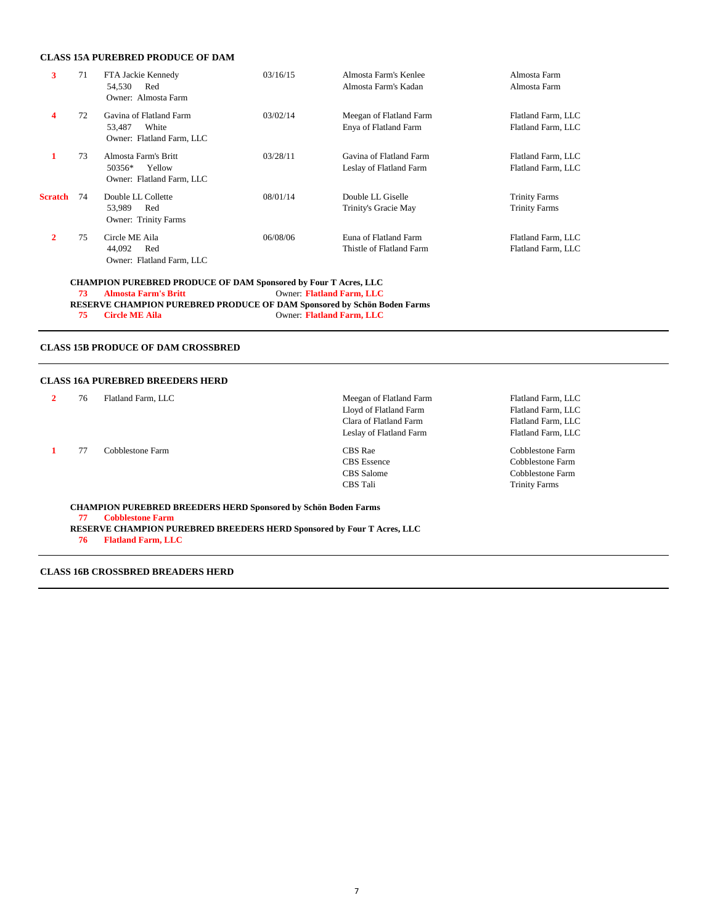#### **CLASS 15A PUREBRED PRODUCE OF DAM**

| 3                                                              | 71                                                                      | FTA Jackie Kennedy<br>Red<br>54,530<br>Owner: Almosta Farm              | 03/16/15 | Almosta Farm's Kenlee<br>Almosta Farm's Kadan      | Almosta Farm<br>Almosta Farm                 |  |  |
|----------------------------------------------------------------|-------------------------------------------------------------------------|-------------------------------------------------------------------------|----------|----------------------------------------------------|----------------------------------------------|--|--|
| 4                                                              | 72                                                                      | Gavina of Flatland Farm<br>White<br>53,487<br>Owner: Flatland Farm, LLC | 03/02/14 | Meegan of Flatland Farm<br>Enya of Flatland Farm   | Flatland Farm, LLC<br>Flatland Farm, LLC     |  |  |
| 1                                                              | 73                                                                      | Almosta Farm's Britt<br>50356*<br>Yellow<br>Owner: Flatland Farm, LLC   | 03/28/11 | Gavina of Flatland Farm<br>Leslay of Flatland Farm | Flatland Farm, LLC<br>Flatland Farm, LLC     |  |  |
| <b>Scratch</b>                                                 | 74                                                                      | Double LL Collette<br>Red<br>53,989<br><b>Owner: Trinity Farms</b>      | 08/01/14 | Double LL Giselle<br>Trinity's Gracie May          | <b>Trinity Farms</b><br><b>Trinity Farms</b> |  |  |
| $\overline{2}$                                                 | 75                                                                      | Circle ME Aila<br>Red<br>44,092<br>Owner: Flatland Farm, LLC            | 06/08/06 | Euna of Flatland Farm<br>Thistle of Flatland Farm  | Flatland Farm, LLC<br>Flatland Farm, LLC     |  |  |
|                                                                |                                                                         | <b>CHAMPION PUREBRED PRODUCE OF DAM Sponsored by Four T Acres, LLC</b>  |          |                                                    |                                              |  |  |
| 73<br><b>Almosta Farm's Britt</b><br>Owner: Flatland Farm, LLC |                                                                         |                                                                         |          |                                                    |                                              |  |  |
|                                                                | RESERVE CHAMPION PUREBRED PRODUCE OF DAM Sponsored by Schön Boden Farms |                                                                         |          |                                                    |                                              |  |  |
|                                                                | 75                                                                      | <b>Circle ME Aila</b>                                                   |          | Owner: Flatland Farm, LLC                          |                                              |  |  |
|                                                                |                                                                         |                                                                         |          |                                                    |                                              |  |  |

### **CLASS 15B PRODUCE OF DAM CROSSBRED**

### **CLASS 16A PUREBRED BREEDERS HERD**

| 76 | Flatland Farm, LLC                                                                                                                                                         | Meegan of Flatland Farm | Flatland Farm, LLC   |
|----|----------------------------------------------------------------------------------------------------------------------------------------------------------------------------|-------------------------|----------------------|
|    |                                                                                                                                                                            | Lloyd of Flatland Farm  | Flatland Farm, LLC   |
|    |                                                                                                                                                                            | Clara of Flatland Farm  | Flatland Farm, LLC   |
|    |                                                                                                                                                                            | Leslay of Flatland Farm | Flatland Farm, LLC   |
| 77 | Cobblestone Farm                                                                                                                                                           | CBS Rae                 | Cobblestone Farm     |
|    |                                                                                                                                                                            | <b>CBS</b> Essence      | Cobblestone Farm     |
|    |                                                                                                                                                                            | CBS Salome              | Cobblestone Farm     |
|    |                                                                                                                                                                            | <b>CBS</b> Tali         | <b>Trinity Farms</b> |
| 77 | <b>CHAMPION PUREBRED BREEDERS HERD Sponsored by Schön Boden Farms</b><br><b>Cobblestone Farm</b><br>RESERVE CHAMPION PUREBRED BREEDERS HERD Sponsored by Four T Acres, LLC |                         |                      |

**76 Flatland Farm, LLC**

**CLASS 16B CROSSBRED BREADERS HERD**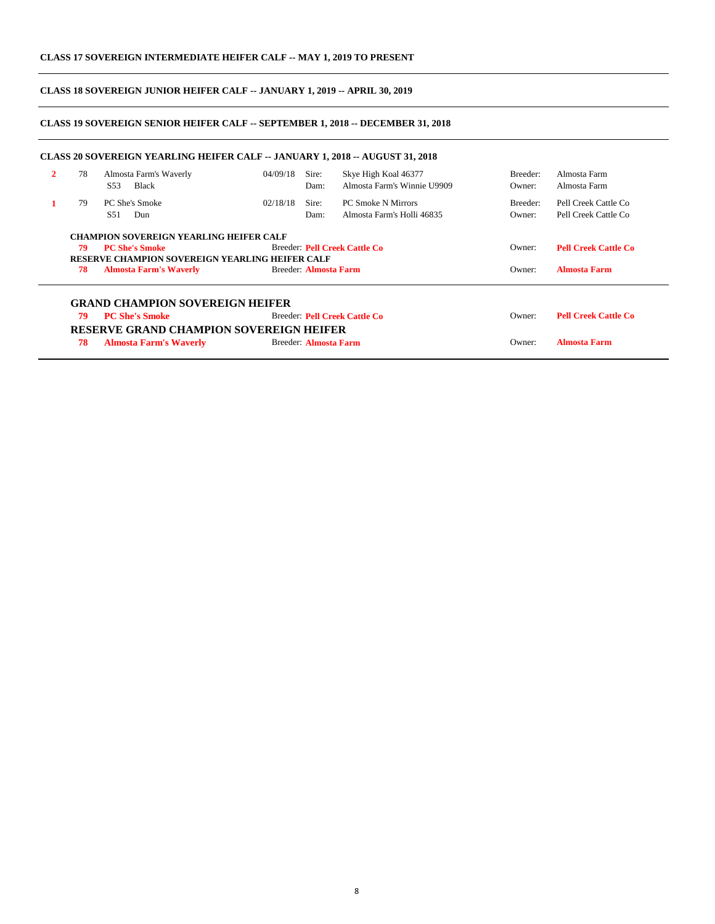#### **CLASS 18 SOVEREIGN JUNIOR HEIFER CALF -- JANUARY 1, 2019 -- APRIL 30, 2019**

#### **CLASS 19 SOVEREIGN SENIOR HEIFER CALF -- SEPTEMBER 1, 2018 -- DECEMBER 31, 2018**

| 2 | 78 | Almosta Farm's Waverly<br><b>Black</b><br>S <sub>53</sub>                       | 04/09/18 | Sire:<br>Dam:         | Skye High Koal 46377<br>Almosta Farm's Winnie U9909 | Breeder:<br>Owner: | Almosta Farm<br>Almosta Farm |
|---|----|---------------------------------------------------------------------------------|----------|-----------------------|-----------------------------------------------------|--------------------|------------------------------|
|   | 79 | PC She's Smoke                                                                  | 02/18/18 | Sire:                 | <b>PC Smoke N Mirrors</b>                           | Breeder:           | Pell Creek Cattle Co         |
|   |    | S <sub>51</sub><br>Dun                                                          |          | Dam:                  | Almosta Farm's Holli 46835                          | Owner:             | Pell Creek Cattle Co         |
|   | 79 | <b>PC She's Smoke</b><br><b>RESERVE CHAMPION SOVEREIGN YEARLING HEIFER CALF</b> |          |                       | Breeder: Pell Creek Cattle Co                       | Owner:             | <b>Pell Creek Cattle Co</b>  |
|   |    |                                                                                 |          |                       |                                                     |                    |                              |
|   | 78 | <b>Almosta Farm's Waverly</b>                                                   |          | Breeder: Almosta Farm |                                                     | Owner:             | <b>Almosta Farm</b>          |
|   |    | <b>GRAND CHAMPION SOVEREIGN HEIFER</b>                                          |          |                       |                                                     |                    |                              |
|   | 79 | <b>PC She's Smoke</b>                                                           |          |                       | Breeder: Pell Creek Cattle Co                       | Owner:             | <b>Pell Creek Cattle Co</b>  |
|   |    | <b>RESERVE GRAND CHAMPION SOVEREIGN HEIFER</b>                                  |          |                       |                                                     |                    |                              |
|   |    |                                                                                 |          |                       |                                                     |                    |                              |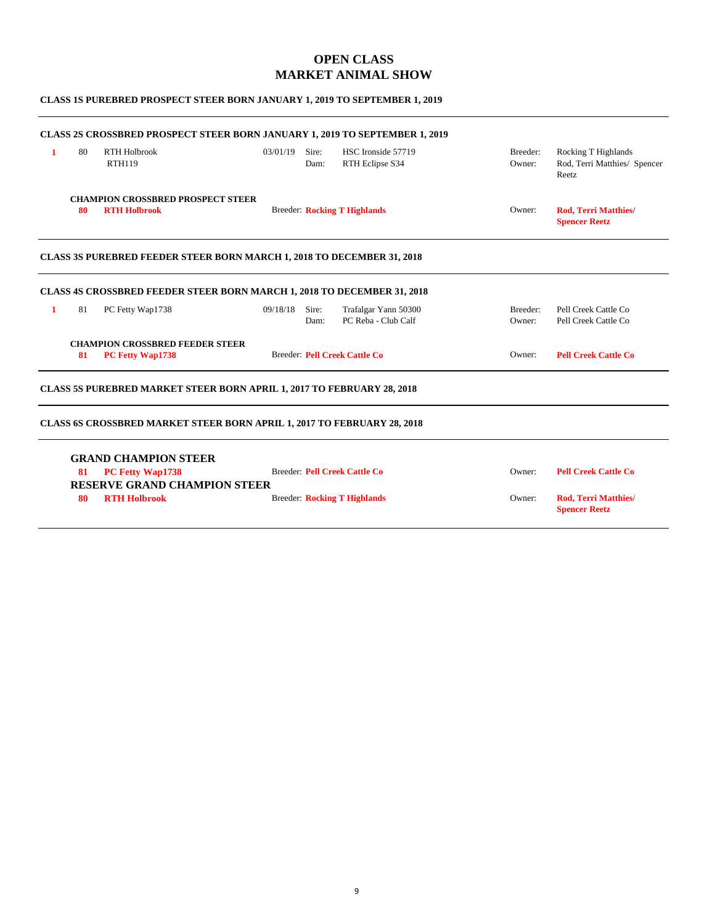## **OPEN CLASS MARKET ANIMAL SHOW**

#### **CLASS 1S PUREBRED PROSPECT STEER BORN JANUARY 1, 2019 TO SEPTEMBER 1, 2019**

|   |    | <b>CLASS 2S CROSSBRED PROSPECT STEER BORN JANUARY 1, 2019 TO SEPTEMBER 1, 2019</b> |          |               |                                             |                    |                                                              |
|---|----|------------------------------------------------------------------------------------|----------|---------------|---------------------------------------------|--------------------|--------------------------------------------------------------|
| 1 | 80 | <b>RTH Holbrook</b><br><b>RTH119</b>                                               | 03/01/19 | Sire:<br>Dam: | HSC Ironside 57719<br>RTH Eclipse S34       | Breeder:<br>Owner: | Rocking T Highlands<br>Rod, Terri Matthies/ Spencer<br>Reetz |
|   | 80 | <b>CHAMPION CROSSBRED PROSPECT STEER</b><br><b>RTH Holbrook</b>                    |          |               | <b>Breeder: Rocking T Highlands</b>         | Owner:             | <b>Rod. Terri Matthies/</b><br><b>Spencer Reetz</b>          |
|   |    | <b>CLASS 3S PUREBRED FEEDER STEER BORN MARCH 1, 2018 TO DECEMBER 31, 2018</b>      |          |               |                                             |                    |                                                              |
|   |    | <b>CLASS 4S CROSSBRED FEEDER STEER BORN MARCH 1, 2018 TO DECEMBER 31, 2018</b>     |          |               |                                             |                    |                                                              |
| 1 | 81 | PC Fetty Wap1738                                                                   | 09/18/18 | Sire:<br>Dam: | Trafalgar Yann 50300<br>PC Reba - Club Calf | Breeder:<br>Owner: | Pell Creek Cattle Co<br>Pell Creek Cattle Co                 |
|   | 81 | <b>CHAMPION CROSSBRED FEEDER STEER</b><br>PC Fetty Wap1738                         |          |               | <b>Breeder: Pell Creek Cattle Co</b>        | Owner:             | <b>Pell Creek Cattle Co</b>                                  |
|   |    | <b>CLASS 5S PUREBRED MARKET STEER BORN APRIL 1, 2017 TO FEBRUARY 28, 2018</b>      |          |               |                                             |                    |                                                              |
|   |    | <b>CLASS 6S CROSSBRED MARKET STEER BORN APRIL 1, 2017 TO FEBRUARY 28, 2018</b>     |          |               |                                             |                    |                                                              |
|   |    | <b>GRAND CHAMPION STEER</b>                                                        |          |               |                                             |                    |                                                              |
|   | 81 | <b>PC Fetty Wap1738</b>                                                            |          |               | <b>Breeder: Pell Creek Cattle Co</b>        | Owner:             | <b>Pell Creek Cattle Co</b>                                  |
|   |    | <b>RESERVE GRAND CHAMPION STEER</b>                                                |          |               |                                             |                    |                                                              |
|   | 80 | <b>RTH Holbrook</b>                                                                |          |               | <b>Breeder: Rocking T Highlands</b>         | Owner:             | <b>Rod, Terri Matthies/</b><br><b>Spencer Reetz</b>          |